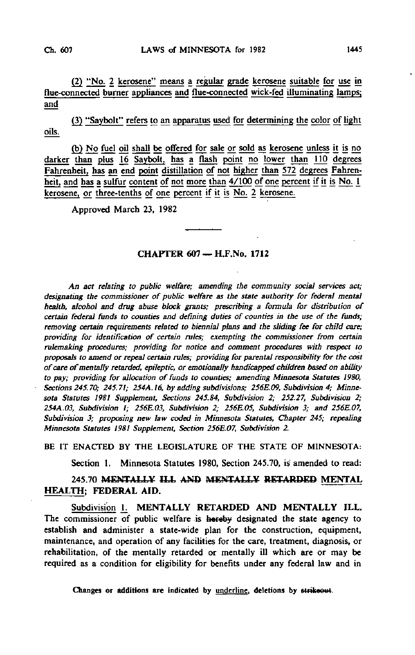(2) "No. 2 kerosene" means a regular grade kerosene suitable for use in flue-connected burner appliances and flue-connected wick-fed illuminating lamps; and

(3) "Saybolt" refers to an apparatus used for determining the color of light oils.

(b) No fuel oil shall be offered for sale or sold as kerosene unless it is no darker than plus 16 Saybolt, has a flash point no lower than 110 degrees Fahrenheit, has an end point distillation of not higher than 572 degrees Fahrenheit, and has a sulfur content of not more than  $4/100$  of one percent if it is No. 1 kerosene, or three-tenths of one percent if it is No. 2 kerosene.

Approved March 23, 1982

## CHAPTER 607 - H.F.No. 1712

An act relating to public welfare; amending the community social services act; designating the commissioner of public welfare as the state authority for federal mental health, alcohol and drug abuse block grants; prescribing a formula for distribution of certain federal funds to counties and defining duties of counties in the use of the funds; removing certain requirements related to biennial plans and the sliding fee for child care; providing for identification of certain rules; exempting the commissioner from certain rulemaking procedures; providing for notice and comment procedures with respect to proposals to amend or repeal certain rules; providing for parental responsibility for the cost of care of mentally retarded, epileptic, or emotionally handicapped children based on ability to pay; providing for allocation of funds to counties; amending Minnesota Statutes 1980, Sections 245.70; 245.71; 254A.16, by adding subdivisions; 256E.09, Subdivision 4; Minnesota Statutes 1981 Supplement, Sections 245.84, Subdivision 2; 252.27, Subdivision 2; 254A.03, Subdivision I; 256E.03, Subdivision 2; 256E.05, Subdivision 3; and 256E.07, Subdivision 3; proposing new law coded in Minnesota Statutes, Chapter 245; repealing Minnesota Statutes 1981 Supplement, Section 256E.07, Subdivision 2.

BE IT ENACTED BY THE LEGISLATURE OF THE STATE OF MINNESOTA:

Section 1. Minnesota Statutes 1980, Section 245.70, is amended to read:

245.70 MENTALLY ILL AND MENTALLY RETARDED MENTAL HEALTH; FEDERAL AID.

Subdivision 1. MENTALLY RETARDED AND MENTALLY ILL. The commissioner of public welfare is hereby designated the state agency to establish and administer a state-wide plan for the construction, equipment, maintenance, and operation of any facilities for the care, treatment, diagnosis, or rehabilitation, of the mentally retarded or mentally ill which are or may be required as a condition for eligibility for benefits under any federal law and in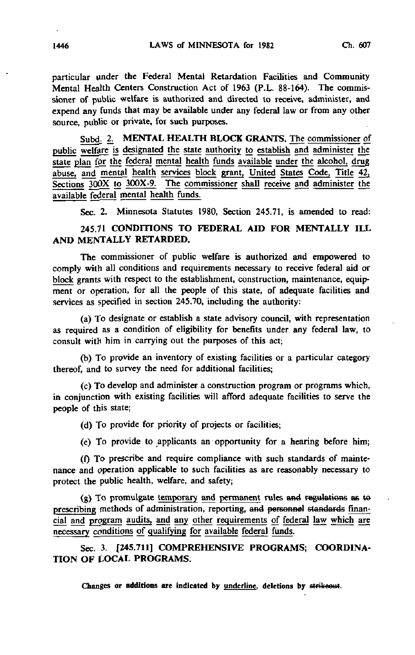particular under the Federal Mental Retardation Facilities and Community Mental Health Centers Construction Act of 1963 (P.L. 88-164). The commissioner of public welfare is authorized and directed to receive, administer, and expend any funds that may be available under any federal law or from any other source, public or private, for such purposes.

Subd. 2. MENTAL HEALTH BLOCK GRANTS. The commissioner of public welfare is designated the state authority to establish and administer the state plan for the federal mental health funds available under the alcohol, drug abuse, and mental health services block grant, United States Code, Title 42, Sections 300X to 300X-9. The commissioner shall receive and administer the available federal mental health funds.

Sec. 2. Minnesota Statutes 1980, Section 245.71, is amended to read:

# 245.71 CONDITIONS TO FEDERAL AID FOR MENTALLY ILL AND MENTALLY RETARDED.

The commissioner of public welfare is authorized and empowered to comply with all conditions and requirements necessary to receive federal aid or block grants with respect to the establishment, construction, maintenance, equipment or operation, for all the people of this state, of adequate facilities and services as specified in section 245.70, including the authority:

(a) To designate or establish a state advisory council, with representation as required as a condition of eligibility for benefits under any federal law, to consult with him in carrying out the purposes of this act;

(b) To provide an inventory of existing facilities or a particular category thereof, and to survey the need for additional facilities;

(c) To develop and administer a construction program or programs which, in conjunction with existing facilities will afford adequate facilities to serve the people of this state;

(d) To provide for priority of projects or facilities;

(e) To provide to applicants an opportunity for a hearing before him;

(0 To prescribe and require compliance with such standards of maintenance and operation applicable to such facilities as are reasonably necessary to protect the public health, welfare, and safety;

(g) To promulgate temporary and permanent rules and regulations as to prescribing methods of administration, reporting, and personnel standards financial and program audits, and any other requirements of federal law which are necessary conditions of qualifying for available federal funds.

Sec. 3. [245.711] COMPREHENSIVE PROGRAMS; COORDINA-TION OF LOCAL PROGRAMS.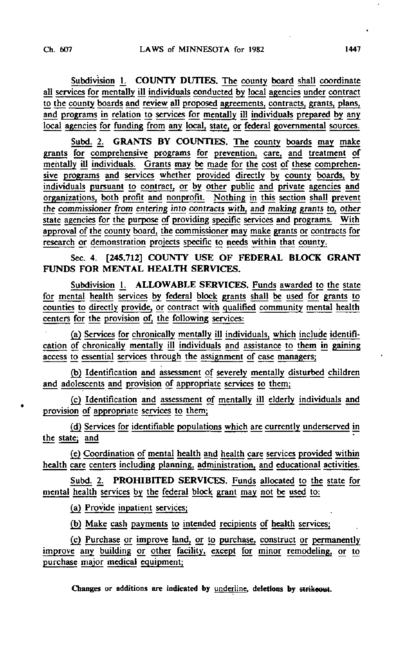Subdivision 1. COUNTY DUTIES. The county board shall coordinate all services for mentally ill individuals conducted by local agencies under contract to the county boards and review all proposed agreements, contracts, grants, plans, and programs in relation to services for mentally ill individuals prepared by any local agencies for funding from any local; state, or federal governmental sources.

Subd. 2. GRANTS BY COUNTIES. The county boards may make grants for comprehensive programs for prevention, care, and treatment of mentally ill individuals. Grants may be made for the cost of these comprehensive programs and services whether provided directly by county boards, by individuals pursuant to contract; or by other public and private agencies and organizations, both profit and nonprofit. Nothing in this section shall prevent the commissioner from entering into contracts with, and making grants to, other state agencies for the purpose of providing specific services and programs. With approval of the county board, the commissioner may make grants or contracts for research or demonstration projects specific to needs within that county.

Sec. 4. [245.712] COUNTY USE OF FEDERAL BLOCK GRANT FUNDS FOR MENTAL HEALTH SERVICES.

Subdivision 1. ALLOWABLE SERVICES. Funds awarded to the state for mental health services by federal block grants shall be used for grants to counties to directly provide, or contract with qualified community mental health centers for the provision of, the following services:

(a) Services for chronically mentally ill individuals, which include identification of chronically mentally ill individuals and assistance to them in gaining access to essential services through the assignment of case managers;

(b) Identification and assessment of severely mentally disturbed children and adolescents and provision of appropriate services to them;

(c) Identification and assessment of mentally ill elderly individuals and provision of appropriate services to them;

(d) Services for identifiable populations which are currently underserved in the state; and

(e) Coordination of mental health and health care services provided within health care centers including planning, administration, and educational activities.

Subd. 2. PROHIBITED SERVICES. Funds allocated to the state for mental health services by the federal block grant may not be used to:

(a) Provide inpatient services;

(b) Make cash payments to intended recipients of health services;

(c) Purchase or improve land, or to purchase, construct or permanently improve any building or other facility, except for minor remodeling, or to purchase major medical equipment;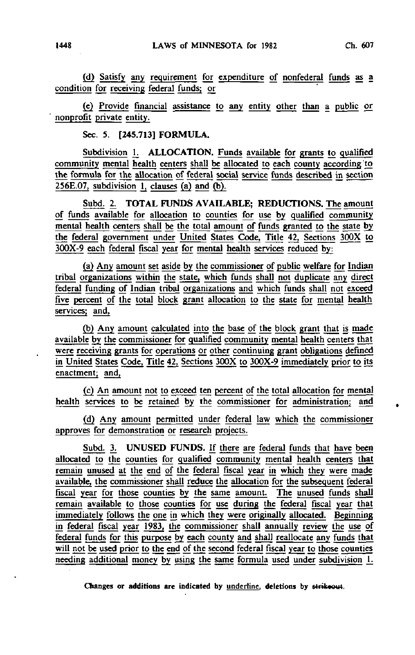(d) Satisfy any requirement for expenditure of nonfederal funds as a condition for receiving federal funds; or

(e) Provide financial assistance to any entity other than a public or nonprofit private entity.

Sec. 5. [245.713] FORMULA.

Subdivision 1. ALLOCATION. Funds available for grants to qualified community mental health centers shall be allocated to each county according 'to the formula for the allocation of federal social service funds described in section  $256E.07$ , subdivision 1, clauses (a) and (b).

Subd. 2. TOTAL FUNDS AVAILABLE; REDUCTIONS. The amount of funds available for allocation to counties for use by qualified community mental health centers shall be the total amount of funds granted to the state by the federal government under United States Code, Title 42, Sections 300X to 300X-9 each federal fiscal year for mental health services reduced by:

(a) Any amount set aside by the commissioner of public welfare for Indian tribal organizations within the state, which funds shall not duplicate any direct federal funding of Indian tribal organizations and which funds shall not exceed five percent of the total block grant allocation to the state for mental health services; and,

(b) Any amount calculated into the base of the block grant that is made available by the commissioner for qualified community mental health centers that were receiving grants for operations or other continuing grant obligations defined in United States Code, Title 42, Sections 300X to 300X-9 immediately prior to its enactment; and,

(c) An amount not to exceed ten percent of the total allocation for mental health services to be retained by the commissioner for administration; and

(d) Any amount permitted under federaj law which the commissioner approves for demonstration or research projects.

Subd. 3. UNUSED FUNDS. If there are federal funds that have been allocated to the counties for qualified community mental health centers that remain unused at the end of the federal fiscal year in which they were made available, the commissioner shall reduce the allocation for the subsequent federal fiscal year for those counties by the same amount. The unused funds shall remain available to those counties for use during the federal fiscal year that immediately follows the one in which they were originally allocated. Beginning in federal fiscal year 1983, the commissioner shall annually review the use of federal funds for this purpose by each county and shall reallocate any funds that will not be used prior to the end of the second federal fiscal year to those counties needing additional money by using the same formula used under subdivision L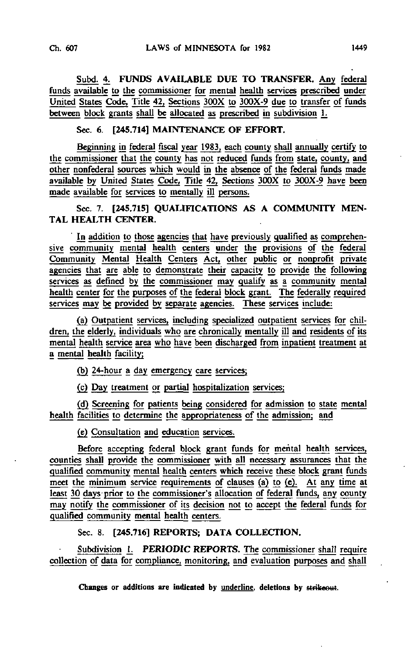Subd. 4. FUNDS AVAILABLE DUE TO TRANSFER. Any federal funds available to the commissioner for mental health services prescribed under United States Code, Title 42, Sections 300X to 300X-9 due to transfer of funds between block grants shall be allocated as prescribed in subdivision 1.

Sec. 6. [245.714] MAINTENANCE OF EFFORT.

Beginning in federal fiscal year 1983, each county shall annually certify to the commissioner that the county has not reduced funds from state, county, and other nonfederal sources which would in the absence of the federal funds made available by United States Code, Title 42, Sections 300X to 300X-9 have been made available for services to mentally ill persons.

Sec. 7. [245.715] QUALIFICATIONS AS A COMMUNITY MEN-TAL HEALTH CENTER.

' In addition to those agencies that have previously qualified as comprehensive community mental health centers under the provisions of the federal Community Mental Health Centers Act, other public or nonprofit private agencies that are able to demonstrate their capacity to provide the following services as defined by the commissioner may qualify as a community mental health center for the purposes of the federal block grant. The federally required services may be provided by separate agencies. These services include:

(a) Outpatient services, including specialized outpatient services for children, the elderly, individuals who are chronically mentally ill and residents of its mental health service area who have been discharged from inpatient treatment at a mental health facility;

(b) 24-hour a day emergency care services;

(cj Day treatment or partial hospitalization services;

(d) Screening for patients being considered for admission to state mental health facilities to determine the appropriateness of the admission; and

(g) Consultation and education services.

Before accepting federal block grant funds for mental health services, counties shall provide the commissioner with all necessary assurances that the qualified community mental health centers which receive these block grant funds meet the minimum service requirements of clauses (a) to (e). At any time at least 30 days prior to the commissioner's allocation of federal funds, any county may notify the commissioner of its decision not to accept the federal funds for qualified community mental health centers.

Sec. 8. [245.716] REPORTS; DATA COLLECTION.

Subdivision 1. PERIODIC REPORTS. The commissioner shall require collection of data for compliance, monitoring, and evaluation purposes and shall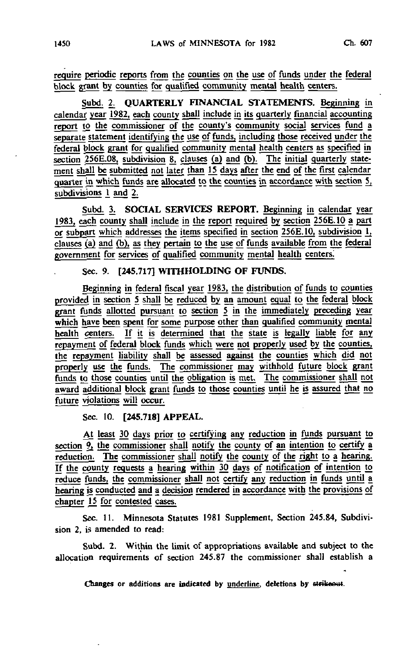require periodic reports from the counties on the use of funds under the federal block grant by counties for qualified community mental health centers.

Subd. 2. QUARTERLY FINANCIAL STATEMENTS. Beginning in calendar year 1982. each county shall include in its quarterly financial accounting report to the commissioner of the county's community social services fund a separate statement identifying the use of funds, including those received under the federal block grant for qualified community mental health centers as specified in section  $256E.08$ , subdivision 8, clauses (a) and (b). The initial quarterly statement shall be submitted not later than 15 days after the end of the first calendar quarter in which funds are allocated to the counties in accordance with section 5, subdivisions 1 and 2.

Subd. 3. SOCIAL SERVICES REPORT. Beginning in calendar year 1983, each county shall include in the report required by section 256E.10 a part or subpart which addresses the items specified in section  $256E.10$ , subdivision 1,  $clauses$  (a) and (b), as they pertain to the use of funds available from the federal government for services of qualified community mental health centers.

## Sec. 9. [245.717] WITHHOLDING OF FUNDS.

Beginning in federal fiscal year 1983, the distribution of funds to counties provided in section 5 shall be reduced by an amount equal to the federal block grant funds allotted pursuant to section  $\frac{1}{2}$  in the immediately preceding year which have been spent for some purpose other than qualified community mental health centers. If it is determined that the state is legally liable for any repayment of federal block funds which were not properly used by the counties, the repayment liability shall be assessed against the counties which did not properly use the funds. The commissioner may withhold future block grant funds tg those counties until the obligation is met. The commissioner shall not award additional block grant funds to those counties until he is assured that no future violations will occur.

Sec. 10. [245.718] APPEAL.

 $\frac{At}{2}$  least 30 days prior to certifying any reduction in funds pursuant to section  $\frac{9}{2}$  the commissioner shall notify the county of an intention to certify a reduction. The commissioner shall notify the county of the right to a hearing. If the county requests a hearing within 30 days of notification of intention to reduce funds, the commissioner shall not certify any reduction in funds until a hearing is conducted and a decision rendered in accordance with the provisions of chapter 15 for contested cases.

Sec. 11. Minnesota Statutes 1981 Supplement, Section 245.84, Subdivision 2, is amended to read:

Subd. 2. Within the limit of appropriations available and subject to the allocation requirements of section 245.87 the commissioner shall establish a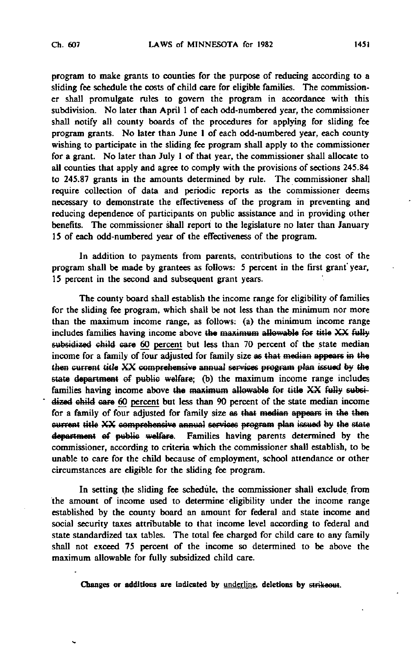program to make grants to counties for the purpose of reducing according to a sliding fee schedule the costs of child care for eligible families. The commissioner shall promulgate rules to govern the program in accordance with this subdivision. No later than April 1 of each odd-numbered year, the commissioner shall notify all county boards of the procedures for applying for sliding fee program grants. No later than June 1 of each odd-numbered year, each county wishing to participate in the sliding fee program shall apply to the commissioner for a grant. No later than July 1 of that year, the commissioner shall allocate to all counties that apply and agree to comply with the provisions of sections 245.84 to 245.87 grants in the amounts determined by rule. The commissioner shall require collection of data and periodic reports as the commissioner deems necessary to demonstrate the effectiveness of the program in preventing and reducing dependence of participants on public assistance and in providing other benefits. The commissioner shall report to the legislature no later than January 1 5 of each odd-numbered year of the effectiveness of the program.

In addition to payments from parents, contributions to the cost of the program shall be made by grantees as follows: 5 percent in the first grant' year, 15 percent in the second and subsequent grant years.

The county board shall establish the income range for eligibility of families for the sliding fee program, which shall be not less than the minimum nor more than the maximum income range, as follows: (a) the minimum income range includes families having income above the maximum allowable for title XX fully subsidized child care 60 percent but less than 70 percent of the state median income for a family of four adjusted for family size as that median appears in the then current title XX comprehensive annual services program plan issued by the state department of public welfare; (b) the maximum income range includes families having income above the maximum allowable for title XX fully subsidized child care 60 percent but less than 90 percent of the state median income for a family of four adjusted for family size as that median appears in the then current title XX comprehensive annual services program plan issued by the state department ef public welfare. Families having parents determined by the commissioner, according to criteria which the commissioner shall establish, to be unable to care for the child because of employment, school attendance or other circumstances are eligible for the sliding fee program.

In setting the sliding fee schedule, the commissioner shall exclude from the amount of income used to determine 'eligibility under the income range established by the county board an amount for federal and state income and social security taxes attributable to that income level according to federal and state standardized tax tables. The total fee charged for child care to any family shall not exceed 75 percent of the income so determined to be above the maximum allowable for fully subsidized child care.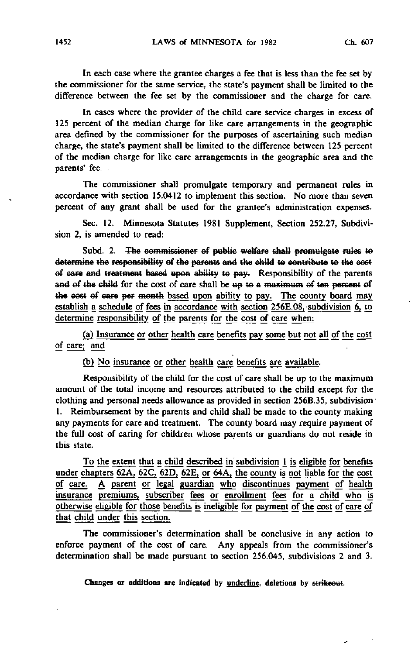In each case where the grantee charges a fee that is less than the fee set by the commissioner for the same service, the state's payment shall be limited to the difference between the fee set by the commissioner and the charge for care.

In cases where the provider of the child care service charges in excess of 125 percent of the median charge for like care arrangements in the geographic area defined by the commissioner for the purposes of ascertaining such median charge, the state's payment shall be limited to the difference between 125 percent of the median charge for like care arrangements in the geographic area and the parents' fee.

The commissioner shall promulgate temporary and permanent rules in accordance with section 15.0412 to implement this section. No more than seven percent of any grant shall be used for the grantee's administration expenses.

Sec. 12. Minnesota Statutes 1981 Supplement, Section 252.27, Subdivision 2, is amended to read:

Subd. 2. The commissioner of public welfare shall promulgate rules to determine the responsibility of the parents and the child to contribute to the cost of care and treatment based upon ability to pay. Responsibility of the parents and of the child for the cost of care shall be up to a maximum of ten percent of the cost ef care per month based upon ability to pay. The county board may establish a schedule of fees in accordance with section 256E.08, subdivision 6, to determine responsibility of the parents for the cost of care when:

(a) Insurance or other health care benefits pay some but not all of the cost of care; and

(b) No insurance or other health care benefits are available.

Responsibility of the child for the cost of care shall be up to the maximum amount of the total income and resources attributed to the child except for the clothing and personal needs allowance as provided in section 256B.35, subdivision\* 1. Reimbursement by the parents and child shall be made to the county making any payments for care and treatment. The county board may require payment of the full cost of caring for children whose parents or guardians do not reside in this state.

To the extent that a child described in subdivision 1 is eligible for benefits under chapters 62A, 62C, 62D, 62E, or 64A, the county is not liable for the cost of care. A parent or legal guardian who discontinues payment of health insurance premiums, subscriber fees or enrollment fees for a child who is otherwise eligible for those benefits is ineligible for payment of the cost of care of that child under this section.

The commissioner's determination shall be conclusive in any action to enforce payment of the cost of care. Any appeals from the commissioner's determination shall be made pursuant to section 256.045, subdivisions 2 and 3.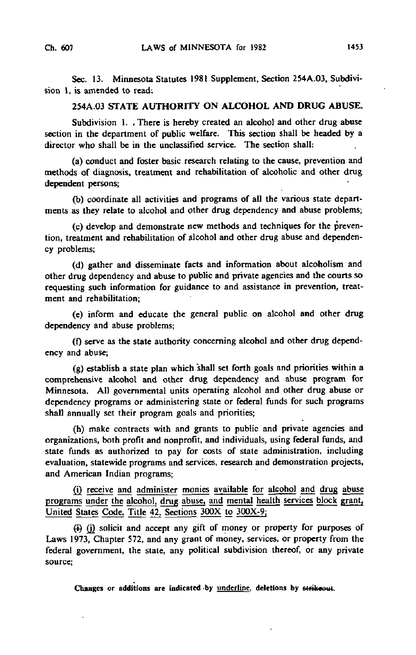Sec. 13. Minnesota Statutes 1981 Supplement, Section 254A.03, Subdivision 1, is amended to read:

# 254A.03 STATE AUTHORITY ON ALCOHOL AND DRUG ABUSE.

Subdivision 1. . There is hereby created an alcohol and other drug abuse section in the department of public welfare. This section shall be headed by a director who shall be in the unclassified service. The section shall:

(a) conduct and foster basic research relating to the cause, prevention and methods of diagnosis, treatment and rehabilitation of alcoholic and other drug dependent persons;

(b) coordinate all activities and programs of all the various state departments as they relate to alcohol and other drug dependency and abuse problems;

(c) develop and demonstrate new methods and techniques for the prevention, treatment and rehabilitation of alcohol and other drug abuse and dependency problems;

(d) gather and disseminate facts and information about alcoholism and other drug dependency and abuse to public and private agencies and the courts so requesting such information for guidance to and assistance in prevention, treatment and rehabilitation;

(e) inform and educate the general public on alcohol and other drug dependency and abuse problems;

(f) serve as the state authority concerning alcohol and other drug dependency and abuse;

(g) establish a state plan which shall set forth goals and priorities within a comprehensive alcohol and other drug dependency and abuse program for Minnesota. AH governmental units operating alcohol and other drug abuse or dependency programs or administering state or federal funds for such programs shall annually set their program goals and priorities;

(h) make contracts with and grants to public and private agencies and organizations, both profit and nonprofit, and individuals, using federal funds, and state funds as authorized to pay for costs of state administration, including evaluation, statewide programs and services, research and demonstration projects, and American Indian programs;

(i) receive and administer monies available for alcohol and drug abuse programs under the alcohol, drug abuse, and mental health services block grant, United States Code, Title 42, Sections 300X to 300X-9;

(i) (j) solicit and accept any gift of money or property for purposes of Laws 1973, Chapter 572, and any grant of money, services, or property from the federal government, the state, any political subdivision thereof, or any private source;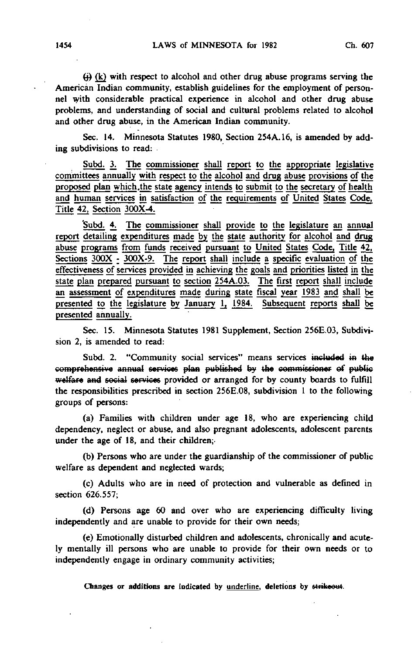$(i)$  (k) with respect to alcohol and other drug abuse programs serving the American Indian community, establish guidelines for the employment of personnel with considerable practical experience in alcohol and other drug abuse problems, and understanding of social and cultural problems related to alcohol and other drug abuse, in the American Indian community.

Sec. 14. Minnesota Statutes 1980, Section 254A.16, is amended by adding subdivisions to read: -

Subd. 3. The commissioner shall report to the appropriate legislative committees annually with respect to the alcohol and drug abuse provisions of the proposed plan which.the state agency intends to submit to the secretary of health and human services in satisfaction of the requirements of United States Code^ Title 42, Section 300X-4.

Subd. 4. The commissioner shall provide to the legislature an annual report detailing expenditures made by the state authority for alcohol and drug abuse programs from funds received pursuant to United States Code, Title 42, Sections 300X - 300X-9. The report shall include a specific evaluation of the effectiveness of services provided in achieving the goals and priorities listed in the state plan prepared pursuant to section 2S4A.Q3. The first report shall include an assessment of expenditures made during state fiscal year 1983 and shall be presented to the legislature by January 1, 1984. Subsequent reports shall be presented annually.

Sec. 15. Minnesota Statutes 1981 Supplement, Section 256E.03, Subdivision 2, is amended to read:

Subd. 2. "Community social services" means services included in the comprehensive annual services plan published by the commissioner ef public welfare and social services provided or arranged for by county boards to fulfill the responsibilities prescribed in section 256E.08, subdivision 1 to the following groups of persons:

(a) Families with children under age 18, who are experiencing child dependency, neglect or abuse, and also pregnant adolescents, adolescent parents under the age of 18, and their children;

(b) Persons who are under the guardianship of the commissioner of public welfare as dependent and neglected wards;

(c) Adults who are in need of protection and vulnerable as defined in section 626.557;

(d) Persons age 60 and over who are experiencing difficulty living independently and are unable to provide for their own needs;

(e) Emotionally disturbed children and adolescents, chronically and acutely mentally ill persons who are unable to provide for their own needs or to independently engage in ordinary community activities;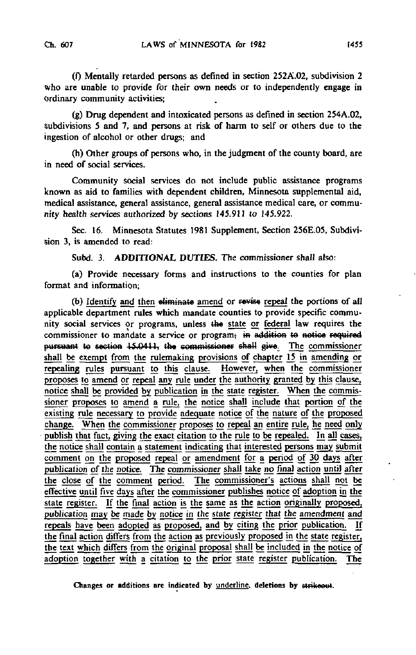(0 Mentally retarded persons as defined in section 252A.02, subdivision 2 who are unable to provide for their own needs or to independently engage in Ordinary community activities;

(g) Drug dependent and intoxicated persons as defined in section 254A.02, subdivisions 5 and 7, and persons at risk of harm to self or others due to the ingestion of alcohol or other drugs; and

(h) Other groups of persons who, in the judgment of the county board, are in need of social services.

Community social services do not include public assistance programs known as aid to families with dependent children, Minnesota supplemental aid, medical assistance, general assistance, general assistance medical care, or community health services authorized by sections 145.911 to 145.922.

Sec. 16. Minnesota Statutes 1981 Supplement, Section 256E.05, Subdivision 3, is amended to read:

Subd. 3. ADDITIONAL DUTIES. The commissioner shall also:

(a) Provide necessary forms and instructions to the counties for plan format and information;

(b) Identify and then eliminate amend or revise repeal the portions of all applicable department rules which mandate counties to provide specific community social services or programs, unless the state or federal law requires the commissioner to mandate a service or program; in addition to notice required pursuant to section 15.0411, the commissioner shall give. The commissioner shall be exempt from the rulemaking provisions of chapter 15 in amending or repealing rules pursuant to this clause. However, when the commissioner proposes to amend or repeal any rule under the authority granted by this clause, notice shall be provided by publication in the state register. When the commissioner proposes to amend a rule, the notice shall include that portion of the existing rule necessary to provide adequate notice of the nature of the proposed change. When the commissioner proposes to repeal an entire rule, he need only publish that fact, giving the exact citation to the rule to be repealed. In all cases, the notice shall contain a statement indicating that interested persons may submit comment on the proposed repeal or amendment for a period of 30 days after publication of the notice. The commissioner shall take no final action until after the close of the comment period. The commissioner's actions shall not be effective until five days after the commissioner publishes notice of adoption in the state register. If the final action is the same as the action originally proposed, publication may be made by notice in the state register that the amendment and repeals have been adopted as proposed, and by citing the prior publication. If the final action differs from the action as previously proposed in the state register, the text which differs from the original proposal shall be included in the notice of adoption together with a citation to the prior state register publication. The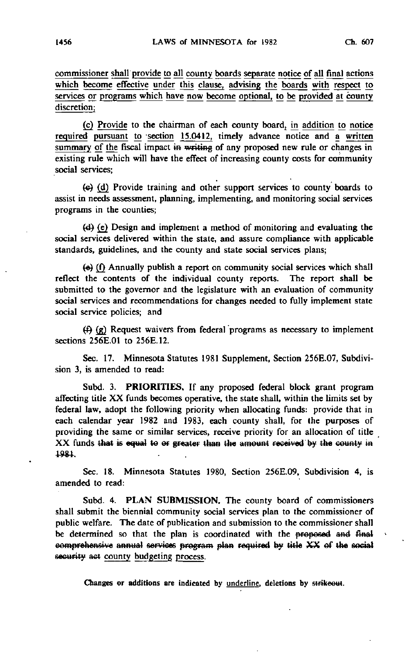commissioner shall provide to all county boards separate notice of all final actions which become effective under this clause, advising the boards with respect to services or programs which have now become optional, to be provided at county discretion;

(c) Provide to the chairman of each county board^ in addition to notice required pursuant to section 15.0412, timely advance notice and a written summary of the fiscal impact in writing of any proposed new rule or changes in existing rule which will have the effect of increasing county costs for community social services;

(c) (d) Provide training and other support services to county boards to assist in needs assessment, planning, implementing, and monitoring social services programs in the counties;

{d) (e) Design and implement a method of monitoring and evaluating the social services delivered within the state, and assure compliance with applicable standards, guidelines, and the county and state social services plans;

 $\left(\theta\right)$  (f) Annually publish a report on community social services which shall reflect the contents of the individual county reports. The report shall be submitted to the governor and the legislature with an evaluation of community social services and recommendations for changes needed to fully implement state social service policies; and

(f) (g) Request waivers from federal programs as necessary to implement sections 256E.01 to 256E.12.

Sec. 17. Minnesota Statutes 1981 Supplement, Section 256E.07, Subdivision 3, is amended to read:

Subd. 3. PRIORITIES. If any proposed federal block grant program affecting title XX funds becomes operative, the state shall, within the limits set by federal law, adopt the following priority when allocating funds: provide that in each calendar year 1982 and 1983, each county shall, for the purposes of providing the same or similar services, receive priority for an allocation of title  $XX$  funds that is equal to or greater than the amount received by the county in 198-1.

Sec. 18. Minnesota Statutes 1980, Section 256E.09, Subdivision 4, is amended to read:

Subd. 4. PLAN SUBMISSION. The county board of commissioners shall submit the biennial community social services plan to the commissioner of public welfare. The date of publication and submission to the commissioner shall be determined so that the plan is coordinated with the proposed and final comprehensive annual services program plan required by title XX of the social security act county budgeting process.